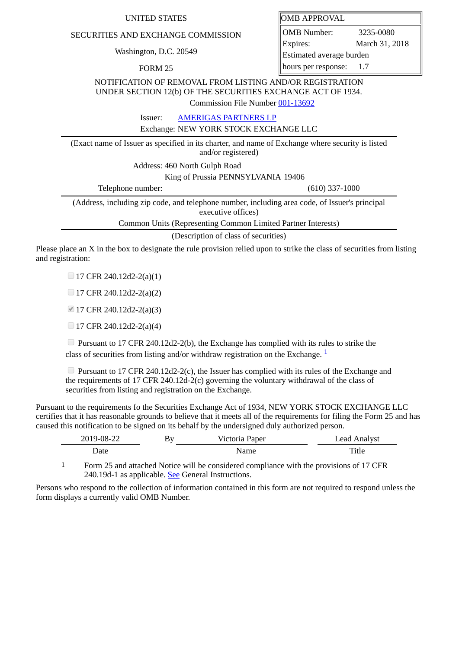## UNITED STATES **OMB** APPROVAL

## SECURITIES AND EXCHANGE COMMISSION

Washington, D.C. 20549

FORM 25

OMB Number: 3235-0080 Expires: March 31, 2018 Estimated average burden hours per response: 1.7

NOTIFICATION OF REMOVAL FROM LISTING AND/OR REGISTRATION UNDER SECTION 12(b) OF THE SECURITIES EXCHANGE ACT OF 1934.

Commission File Number [001-13692](file:///cgi-bin/browse-edgar?action=getcompany&filenum=001-13692)

Issuer: [AMERIGAS PARTNERS LP](http://www.sec.gov/cgi-bin/browse-edgar?action=getcompany&CIK=0000932628)

Exchange: NEW YORK STOCK EXCHANGE LLC

(Exact name of Issuer as specified in its charter, and name of Exchange where security is listed and/or registered)

Address: 460 North Gulph Road

King of Prussia PENNSYLVANIA 19406

Telephone number: (610) 337-1000

(Address, including zip code, and telephone number, including area code, of Issuer's principal executive offices)

Common Units (Representing Common Limited Partner Interests)

(Description of class of securities)

Please place an X in the box to designate the rule provision relied upon to strike the class of securities from listing and registration:

 $\Box$  17 CFR 240.12d2-2(a)(1)

 $\Box$  17 CFR 240.12d2-2(a)(2)

17 CFR 240.12d2-2(a)(3)

 $\Box$  17 CFR 240.12d2-2(a)(4)

 $\Box$  Pursuant to 17 CFR 240.12d2-2(b), the Exchange has complied with its rules to strike the class of securities from listing and/or withdraw registration on the Exchange.  $\frac{1}{2}$  $\frac{1}{2}$  $\frac{1}{2}$ 

Pursuant to 17 CFR 240.12d2-2(c), the Issuer has complied with its rules of the Exchange and the requirements of 17 CFR 240.12d-2(c) governing the voluntary withdrawal of the class of securities from listing and registration on the Exchange.

Pursuant to the requirements fo the Securities Exchange Act of 1934, NEW YORK STOCK EXCHANGE LLC certifies that it has reasonable grounds to believe that it meets all of the requirements for filing the Form 25 and has caused this notification to be signed on its behalf by the undersigned duly authorized person.

| $19-08-22$<br>∠∠ | Bv | Paper<br>$1 - 2 + 2 = 2$ | Analyst<br>ead |
|------------------|----|--------------------------|----------------|
| Date             |    | ----                     | —<br>TILT      |

<span id="page-0-0"></span>1 Form 25 and attached Notice will be considered compliance with the provisions of 17 CFR 240.19d-1 as applicable. See General Instructions.

Persons who respond to the collection of information contained in this form are not required to respond unless the form displays a currently valid OMB Number.